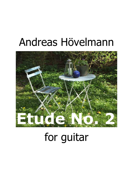## Andreas Hövelmann



## for guitar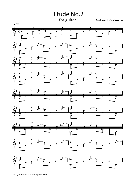

All rights reserved. Just for private use.